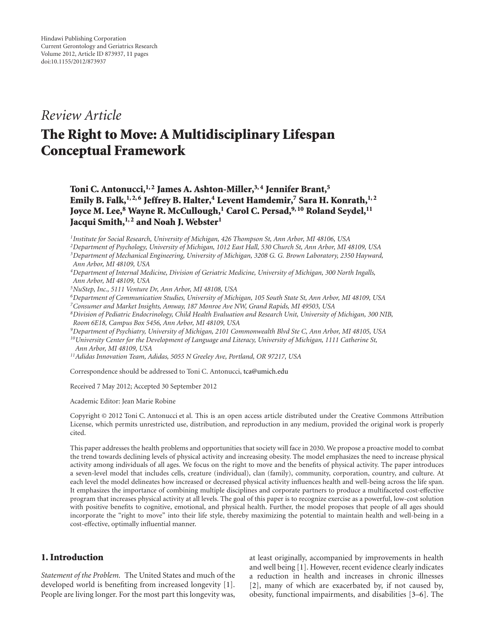# *Review Article*

# **The Right to Move: A Multidisciplinary Lifespan Conceptual Framework**

Toni C. Antonucci,<sup>1,2</sup> James A. Ashton-Miller,<sup>3,4</sup> Jennifer Brant,<sup>5</sup> **Emily B. Falk, <sup>1, 2, 6</sup> Jeffrey B. Halter, <sup>4</sup> Levent Hamdemir,<sup>7</sup> Sara H. Konrath, <sup>1, 2</sup> Joyce M. Lee,<sup>8</sup> Wayne R. McCullough,<sup>1</sup> Carol C. Persad,<sup>9, 10</sup> Roland Seydel,<sup>11</sup>** Jacqui Smith,<sup>1,2</sup> and Noah J. Webster<sup>1</sup>

*1Institute for Social Research, University of Michigan, 426 Thompson St, Ann Arbor, MI 48106, USA*

*3Department of Mechanical Engineering, University of Michigan, 3208 G. G. Brown Laboratory, 2350 Hayward, Ann Arbor, MI 48109, USA*

*4Department of Internal Medicine, Division of Geriatric Medicine, University of Michigan, 300 North Ingalls, Ann Arbor, MI 48109, USA*

*5NuStep, Inc., 5111 Venture Dr, Ann Arbor, MI 48108, USA*

*6Department of Communication Studies, University of Michigan, 105 South State St, Ann Arbor, MI 48109, USA*

*7Consumer and Market Insights, Amway, 187 Monroe Ave NW, Grand Rapids, MI 49503, USA*

*8Division of Pediatric Endocrinology, Child Health Evaluation and Research Unit, University of Michigan, 300 NIB, Room 6E18, Campus Box 5456, Ann Arbor, MI 48109, USA*

*9Department of Psychiatry, University of Michigan, 2101 Commonwealth Blvd Ste C, Ann Arbor, MI 48105, USA*

*10University Center for the Development of Language and Literacy, University of Michigan, 1111 Catherine St, Ann Arbor, MI 48109, USA*

*11Adidas Innovation Team, Adidas, 5055 N Greeley Ave, Portland, OR 97217, USA*

Correspondence should be addressed to Toni C. Antonucci, tca@umich.edu

Received 7 May 2012; Accepted 30 September 2012

Academic Editor: Jean Marie Robine

Copyright © 2012 Toni C. Antonucci et al. This is an open access article distributed under the Creative Commons Attribution License, which permits unrestricted use, distribution, and reproduction in any medium, provided the original work is properly cited.

This paper addresses the health problems and opportunities that society will face in 2030. We propose a proactive model to combat the trend towards declining levels of physical activity and increasing obesity. The model emphasizes the need to increase physical activity among individuals of all ages. We focus on the right to move and the benefits of physical activity. The paper introduces a seven-level model that includes cells, creature (individual), clan (family), community, corporation, country, and culture. At each level the model delineates how increased or decreased physical activity influences health and well-being across the life span. It emphasizes the importance of combining multiple disciplines and corporate partners to produce a multifaceted cost-effective program that increases physical activity at all levels. The goal of this paper is to recognize exercise as a powerful, low-cost solution with positive benefits to cognitive, emotional, and physical health. Further, the model proposes that people of all ages should incorporate the "right to move" into their life style, thereby maximizing the potential to maintain health and well-being in a cost-effective, optimally influential manner.

# **1. Introduction**

*Statement of the Problem.* The United States and much of the developed world is benefiting from increased longevity [1]. People are living longer. For the most part this longevity was, at least originally, accompanied by improvements in health and well being [1]. However, recent evidence clearly indicates a reduction in health and increases in chronic illnesses [2], many of which are exacerbated by, if not caused by, obesity, functional impairments, and disabilities [3–6]. The

*<sup>2</sup>Department of Psychology, University of Michigan, 1012 East Hall, 530 Church St, Ann Arbor, MI 48109, USA*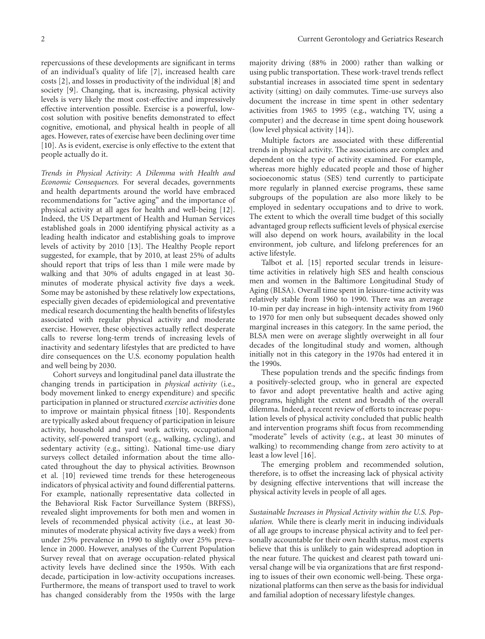repercussions of these developments are significant in terms of an individual's quality of life [7], increased health care costs [2], and losses in productivity of the individual [8] and society [9]. Changing, that is, increasing, physical activity levels is very likely the most cost-effective and impressively effective intervention possible. Exercise is a powerful, lowcost solution with positive benefits demonstrated to effect cognitive, emotional, and physical health in people of all

ages. However, rates of exercise have been declining over time [10]. As is evident, exercise is only effective to the extent that people actually do it. *Trends in Physical Activity: A Dilemma with Health and*

*Economic Consequences.* For several decades, governments and health departments around the world have embraced recommendations for "active aging" and the importance of physical activity at all ages for health and well-being [12]. Indeed, the US Department of Health and Human Services established goals in 2000 identifying physical activity as a leading health indicator and establishing goals to improve levels of activity by 2010 [13]. The Healthy People report suggested, for example, that by 2010, at least 25% of adults should report that trips of less than 1 mile were made by walking and that 30% of adults engaged in at least 30 minutes of moderate physical activity five days a week. Some may be astonished by these relatively low expectations, especially given decades of epidemiological and preventative medical research documenting the health benefits of lifestyles associated with regular physical activity and moderate exercise. However, these objectives actually reflect desperate calls to reverse long-term trends of increasing levels of inactivity and sedentary lifestyles that are predicted to have dire consequences on the U.S. economy population health and well being by 2030.

Cohort surveys and longitudinal panel data illustrate the changing trends in participation in *physical activity* (i.e., body movement linked to energy expenditure) and specific participation in planned or structured *exercise activities* done to improve or maintain physical fitness [10]. Respondents are typically asked about frequency of participation in leisure activity, household and yard work activity, occupational activity, self-powered transport (e.g., walking, cycling), and sedentary activity (e.g., sitting). National time-use diary surveys collect detailed information about the time allocated throughout the day to physical activities. Brownson et al. [10] reviewed time trends for these heterogeneous indicators of physical activity and found differential patterns. For example, nationally representative data collected in the Behavioral Risk Factor Surveillance System (BRFSS), revealed slight improvements for both men and women in levels of recommended physical activity (i.e., at least 30 minutes of moderate physical activity five days a week) from under 25% prevalence in 1990 to slightly over 25% prevalence in 2000. However, analyses of the Current Population Survey reveal that on average occupation-related physical activity levels have declined since the 1950s. With each decade, participation in low-activity occupations increases. Furthermore, the means of transport used to travel to work has changed considerably from the 1950s with the large

majority driving (88% in 2000) rather than walking or using public transportation. These work-travel trends reflect substantial increases in associated time spent in sedentary activity (sitting) on daily commutes. Time-use surveys also document the increase in time spent in other sedentary activities from 1965 to 1995 (e.g., watching TV, using a computer) and the decrease in time spent doing housework (low level physical activity [14]).

Multiple factors are associated with these differential trends in physical activity. The associations are complex and dependent on the type of activity examined. For example, whereas more highly educated people and those of higher socioeconomic status (SES) tend currently to participate more regularly in planned exercise programs, these same subgroups of the population are also more likely to be employed in sedentary occupations and to drive to work. The extent to which the overall time budget of this socially advantaged group reflects sufficient levels of physical exercise will also depend on work hours, availability in the local environment, job culture, and lifelong preferences for an active lifestyle.

Talbot et al. [15] reported secular trends in leisuretime activities in relatively high SES and health conscious men and women in the Baltimore Longitudinal Study of Aging (BLSA). Overall time spent in leisure-time activity was relatively stable from 1960 to 1990. There was an average 10-min per day increase in high-intensity activity from 1960 to 1970 for men only but subsequent decades showed only marginal increases in this category. In the same period, the BLSA men were on average slightly overweight in all four decades of the longitudinal study and women, although initially not in this category in the 1970s had entered it in the 1990s.

These population trends and the specific findings from a positively-selected group, who in general are expected to favor and adopt preventative health and active aging programs, highlight the extent and breadth of the overall dilemma. Indeed, a recent review of efforts to increase population levels of physical activity concluded that public health and intervention programs shift focus from recommending "moderate" levels of activity (e.g., at least 30 minutes of walking) to recommending change from zero activity to at least a low level [16].

The emerging problem and recommended solution, therefore, is to offset the increasing lack of physical activity by designing effective interventions that will increase the physical activity levels in people of all ages.

*Sustainable Increases in Physical Activity within the U.S. Population.* While there is clearly merit in inducing individuals of all age groups to increase physical activity and to feel personally accountable for their own health status, most experts believe that this is unlikely to gain widespread adoption in the near future. The quickest and clearest path toward universal change will be via organizations that are first responding to issues of their own economic well-being. These organizational platforms can then serve as the basis for individual and familial adoption of necessary lifestyle changes.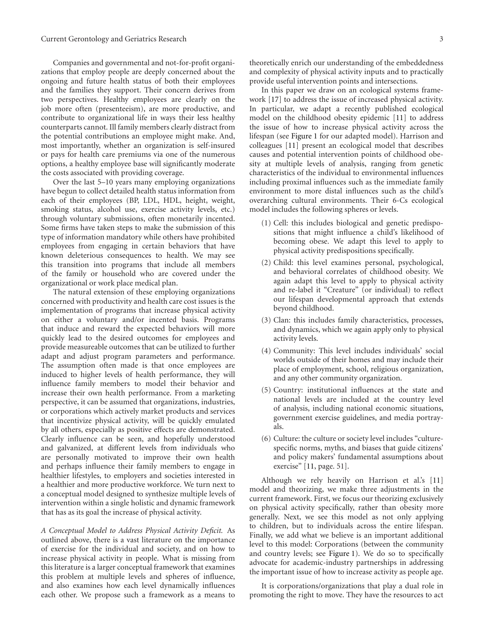Companies and governmental and not-for-profit organizations that employ people are deeply concerned about the ongoing and future health status of both their employees and the families they support. Their concern derives from two perspectives. Healthy employees are clearly on the job more often (presenteeism), are more productive, and contribute to organizational life in ways their less healthy counterparts cannot. Ill family members clearly distract from the potential contributions an employee might make. And, most importantly, whether an organization is self-insured or pays for health care premiums via one of the numerous options, a healthy employee base will significantly moderate the costs associated with providing coverage.

Over the last 5–10 years many employing organizations have begun to collect detailed health status information from each of their employees (BP, LDL, HDL, height, weight, smoking status, alcohol use, exercise activity levels, etc.) through voluntary submissions, often monetarily incented. Some firms have taken steps to make the submission of this type of information mandatory while others have prohibited employees from engaging in certain behaviors that have known deleterious consequences to health. We may see this transition into programs that include all members of the family or household who are covered under the organizational or work place medical plan.

The natural extension of these employing organizations concerned with productivity and health care cost issues is the implementation of programs that increase physical activity on either a voluntary and/or incented basis. Programs that induce and reward the expected behaviors will more quickly lead to the desired outcomes for employees and provide measureable outcomes that can be utilized to further adapt and adjust program parameters and performance. The assumption often made is that once employees are induced to higher levels of health performance, they will influence family members to model their behavior and increase their own health performance. From a marketing perspective, it can be assumed that organizations, industries, or corporations which actively market products and services that incentivize physical activity, will be quickly emulated by all others, especially as positive effects are demonstrated. Clearly influence can be seen, and hopefully understood and galvanized, at different levels from individuals who are personally motivated to improve their own health and perhaps influence their family members to engage in healthier lifestyles, to employers and societies interested in a healthier and more productive workforce. We turn next to a conceptual model designed to synthesize multiple levels of intervention within a single holistic and dynamic framework that has as its goal the increase of physical activity.

*A Conceptual Model to Address Physical Activity Deficit.* As outlined above, there is a vast literature on the importance of exercise for the individual and society, and on how to increase physical activity in people. What is missing from this literature is a larger conceptual framework that examines this problem at multiple levels and spheres of influence, and also examines how each level dynamically influences each other. We propose such a framework as a means to

theoretically enrich our understanding of the embeddedness and complexity of physical activity inputs and to practically provide useful intervention points and intersections.

In this paper we draw on an ecological systems framework [17] to address the issue of increased physical activity. In particular, we adapt a recently published ecological model on the childhood obesity epidemic [11] to address the issue of how to increase physical activity across the lifespan (see Figure 1 for our adapted model). Harrison and colleagues [11] present an ecological model that describes causes and potential intervention points of childhood obesity at multiple levels of analysis, ranging from genetic characteristics of the individual to environmental influences including proximal influences such as the immediate family environment to more distal influences such as the child's overarching cultural environments. Their 6-Cs ecological model includes the following spheres or levels.

- (1) Cell: this includes biological and genetic predispositions that might influence a child's likelihood of becoming obese. We adapt this level to apply to physical activity predispositions specifically.
- (2) Child: this level examines personal, psychological, and behavioral correlates of childhood obesity. We again adapt this level to apply to physical activity and re-label it "Creature" (or individual) to reflect our lifespan developmental approach that extends beyond childhood.
- (3) Clan: this includes family characteristics, processes, and dynamics, which we again apply only to physical activity levels.
- (4) Community: This level includes individuals' social worlds outside of their homes and may include their place of employment, school, religious organization, and any other community organization.
- (5) Country: institutional influences at the state and national levels are included at the country level of analysis, including national economic situations, government exercise guidelines, and media portrayals.
- (6) Culture: the culture or society level includes "culturespecific norms, myths, and biases that guide citizens' and policy makers' fundamental assumptions about exercise" [11, page. 51].

Although we rely heavily on Harrison et al.'s [11] model and theorizing, we make three adjustments in the current framework. First, we focus our theorizing exclusively on physical activity specifically, rather than obesity more generally. Next, we see this model as not only applying to children, but to individuals across the entire lifespan. Finally, we add what we believe is an important additional level to this model: Corporations (between the community and country levels; see Figure 1). We do so to specifically advocate for academic-industry partnerships in addressing the important issue of how to increase activity as people age.

It is corporations/organizations that play a dual role in promoting the right to move. They have the resources to act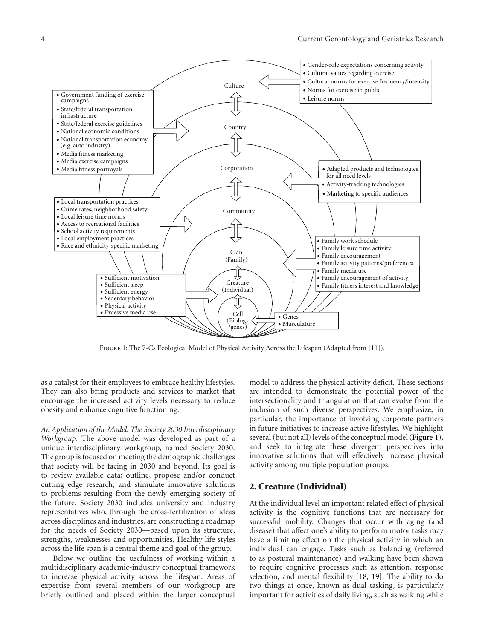

Figure 1: The 7-Cs Ecological Model of Physical Activity Across the Lifespan (Adapted from [11]).

as a catalyst for their employees to embrace healthy lifestyles. They can also bring products and services to market that encourage the increased activity levels necessary to reduce obesity and enhance cognitive functioning.

*An Application of the Model: The Society 2030 Interdisciplinary Workgroup.* The above model was developed as part of a unique interdisciplinary workgroup, named Society 2030. The group is focused on meeting the demographic challenges that society will be facing in 2030 and beyond. Its goal is to review available data; outline, propose and/or conduct cutting edge research; and stimulate innovative solutions to problems resulting from the newly emerging society of the future. Society 2030 includes university and industry representatives who, through the cross-fertilization of ideas across disciplines and industries, are constructing a roadmap for the needs of Society 2030—based upon its structure, strengths, weaknesses and opportunities. Healthy life styles across the life span is a central theme and goal of the group.

Below we outline the usefulness of working within a multidisciplinary academic-industry conceptual framework to increase physical activity across the lifespan. Areas of expertise from several members of our workgroup are briefly outlined and placed within the larger conceptual

model to address the physical activity deficit. These sections are intended to demonstrate the potential power of the intersectionality and triangulation that can evolve from the inclusion of such diverse perspectives. We emphasize, in particular, the importance of involving corporate partners in future initiatives to increase active lifestyles. We highlight several (but not all) levels of the conceptual model (Figure 1), and seek to integrate these divergent perspectives into innovative solutions that will effectively increase physical activity among multiple population groups.

#### **2. Creature (Individual)**

At the individual level an important related effect of physical activity is the cognitive functions that are necessary for successful mobility. Changes that occur with aging (and disease) that affect one's ability to perform motor tasks may have a limiting effect on the physical activity in which an individual can engage. Tasks such as balancing (referred to as postural maintenance) and walking have been shown to require cognitive processes such as attention, response selection, and mental flexibility [18, 19]. The ability to do two things at once, known as dual tasking, is particularly important for activities of daily living, such as walking while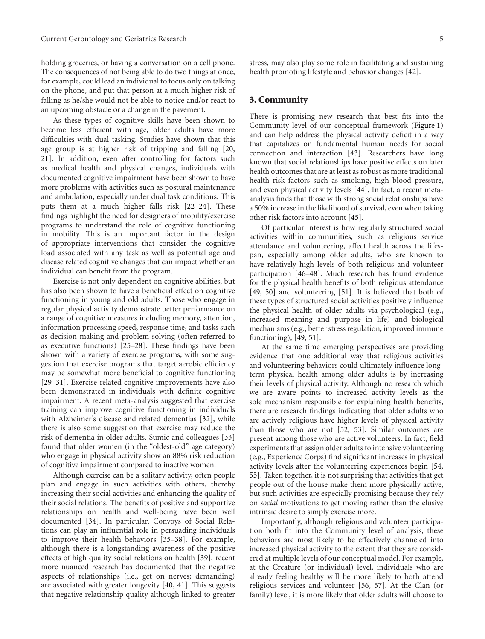holding groceries, or having a conversation on a cell phone. The consequences of not being able to do two things at once, for example, could lead an individual to focus only on talking on the phone, and put that person at a much higher risk of falling as he/she would not be able to notice and/or react to an upcoming obstacle or a change in the pavement.

As these types of cognitive skills have been shown to become less efficient with age, older adults have more difficulties with dual tasking. Studies have shown that this age group is at higher risk of tripping and falling [20, 21]. In addition, even after controlling for factors such as medical health and physical changes, individuals with documented cognitive impairment have been shown to have more problems with activities such as postural maintenance and ambulation, especially under dual task conditions. This puts them at a much higher falls risk [22–24]. These findings highlight the need for designers of mobility/exercise programs to understand the role of cognitive functioning in mobility. This is an important factor in the design of appropriate interventions that consider the cognitive load associated with any task as well as potential age and disease related cognitive changes that can impact whether an individual can benefit from the program.

Exercise is not only dependent on cognitive abilities, but has also been shown to have a beneficial effect on cognitive functioning in young and old adults. Those who engage in regular physical activity demonstrate better performance on a range of cognitive measures including memory, attention, information processing speed, response time, and tasks such as decision making and problem solving (often referred to as executive functions) [25–28]. These findings have been shown with a variety of exercise programs, with some suggestion that exercise programs that target aerobic efficiency may be somewhat more beneficial to cognitive functioning [29–31]. Exercise related cognitive improvements have also been demonstrated in individuals with definite cognitive impairment. A recent meta-analysis suggested that exercise training can improve cognitive functioning in individuals with Alzheimer's disease and related dementias [32], while there is also some suggestion that exercise may reduce the risk of dementia in older adults. Sumic and colleagues [33] found that older women (in the "oldest-old" age category) who engage in physical activity show an 88% risk reduction of cognitive impairment compared to inactive women.

Although exercise can be a solitary activity, often people plan and engage in such activities with others, thereby increasing their social activities and enhancing the quality of their social relations. The benefits of positive and supportive relationships on health and well-being have been well documented [34]. In particular, Convoys of Social Relations can play an influential role in persuading individuals to improve their health behaviors [35–38]. For example, although there is a longstanding awareness of the positive effects of high quality social relations on health [39], recent more nuanced research has documented that the negative aspects of relationships (i.e., get on nerves; demanding) are associated with greater longevity [40, 41]. This suggests that negative relationship quality although linked to greater

stress, may also play some role in facilitating and sustaining health promoting lifestyle and behavior changes [42].

#### **3. Community**

There is promising new research that best fits into the Community level of our conceptual framework (Figure 1) and can help address the physical activity deficit in a way that capitalizes on fundamental human needs for social connection and interaction [43]. Researchers have long known that social relationships have positive effects on later health outcomes that are at least as robust as more traditional health risk factors such as smoking, high blood pressure, and even physical activity levels [44]. In fact, a recent metaanalysis finds that those with strong social relationships have a 50% increase in the likelihood of survival, even when taking other risk factors into account [45].

Of particular interest is how regularly structured social activities within communities, such as religious service attendance and volunteering, affect health across the lifespan, especially among older adults, who are known to have relatively high levels of both religious and volunteer participation [46–48]. Much research has found evidence for the physical health benefits of both religious attendance [49, 50] and volunteering [51]. It is believed that both of these types of structured social activities positively influence the physical health of older adults via psychological (e.g., increased meaning and purpose in life) and biological mechanisms (e.g., better stress regulation, improved immune functioning); [49, 51].

At the same time emerging perspectives are providing evidence that one additional way that religious activities and volunteering behaviors could ultimately influence longterm physical health among older adults is by increasing their levels of physical activity. Although no research which we are aware points to increased activity levels as the sole mechanism responsible for explaining health benefits, there are research findings indicating that older adults who are actively religious have higher levels of physical activity than those who are not [52, 53]. Similar outcomes are present among those who are active volunteers. In fact, field experiments that assign older adults to intensive volunteering (e.g., Experience Corps) find significant increases in physical activity levels after the volunteering experiences begin [54, 55]. Taken together, it is not surprising that activities that get people out of the house make them more physically active, but such activities are especially promising because they rely on *social* motivations to get moving rather than the elusive intrinsic desire to simply exercise more.

Importantly, although religious and volunteer participation both fit into the Community level of analysis, these behaviors are most likely to be effectively channeled into increased physical activity to the extent that they are considered at multiple levels of our conceptual model. For example, at the Creature (or individual) level, individuals who are already feeling healthy will be more likely to both attend religious services and volunteer [56, 57]. At the Clan (or family) level, it is more likely that older adults will choose to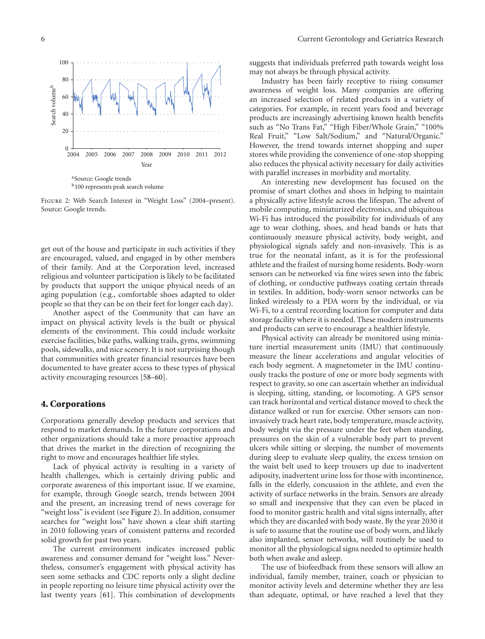

b100 represents peak search volume

Figure 2: Web Search Interest in "Weight Loss" (2004–present). Source: Google trends.

get out of the house and participate in such activities if they are encouraged, valued, and engaged in by other members of their family. And at the Corporation level, increased religious and volunteer participation is likely to be facilitated by products that support the unique physical needs of an aging population (e.g., comfortable shoes adapted to older people so that they can be on their feet for longer each day).

Another aspect of the Community that can have an impact on physical activity levels is the built or physical elements of the environment. This could include worksite exercise facilities, bike paths, walking trails, gyms, swimming pools, sidewalks, and nice scenery. It is not surprising though that communities with greater financial resources have been documented to have greater access to these types of physical activity encouraging resources [58–60].

#### **4. Corporations**

Corporations generally develop products and services that respond to market demands. In the future corporations and other organizations should take a more proactive approach that drives the market in the direction of recognizing the right to move and encourages healthier life styles.

Lack of physical activity is resulting in a variety of health challenges, which is certainly driving public and corporate awareness of this important issue. If we examine, for example, through Google search, trends between 2004 and the present, an increasing trend of news coverage for "weight loss" is evident (see Figure 2). In addition, consumer searches for "weight loss" have shown a clear shift starting in 2010 following years of consistent patterns and recorded solid growth for past two years.

The current environment indicates increased public awareness and consumer demand for "weight loss." Nevertheless, consumer's engagement with physical activity has seen some setbacks and CDC reports only a slight decline in people reporting no leisure time physical activity over the last twenty years [61]. This combination of developments

suggests that individuals preferred path towards weight loss may not always be through physical activity.

Industry has been fairly receptive to rising consumer awareness of weight loss. Many companies are offering an increased selection of related products in a variety of categories. For example, in recent years food and beverage products are increasingly advertising known health benefits such as "No Trans Fat," "High Fiber/Whole Grain," "100% Real Fruit," "Low Salt/Sodium," and "Natural/Organic." However, the trend towards internet shopping and super stores while providing the convenience of one-stop shopping also reduces the physical activity necessary for daily activities with parallel increases in morbidity and mortality.

An interesting new development has focused on the promise of smart clothes and shoes in helping to maintain a physically active lifestyle across the lifespan. The advent of mobile computing, miniaturized electronics, and ubiquitous Wi-Fi has introduced the possibility for individuals of any age to wear clothing, shoes, and head bands or hats that continuously measure physical activity, body weight, and physiological signals safely and non-invasively. This is as true for the neonatal infant, as it is for the professional athlete and the frailest of nursing home residents. Body-worn sensors can be networked via fine wires sewn into the fabric of clothing, or conductive pathways coating certain threads in textiles. In addition, body-worn sensor networks can be linked wirelessly to a PDA worn by the individual, or via Wi-Fi, to a central recording location for computer and data storage facility where it is needed. These modern instruments and products can serve to encourage a healthier lifestyle.

Physical activity can already be monitored using miniature inertial measurement units (IMU) that continuously measure the linear accelerations and angular velocities of each body segment. A magnetometer in the IMU continuously tracks the posture of one or more body segments with respect to gravity, so one can ascertain whether an individual is sleeping, sitting, standing, or locomoting. A GPS sensor can track horizontal and vertical distance moved to check the distance walked or run for exercise. Other sensors can noninvasively track heart rate, body temperature, muscle activity, body weight via the pressure under the feet when standing, pressures on the skin of a vulnerable body part to prevent ulcers while sitting or sleeping, the number of movements during sleep to evaluate sleep quality, the excess tension on the waist belt used to keep trousers up due to inadvertent adiposity, inadvertent urine loss for those with incontinence, falls in the elderly, concussion in the athlete, and even the activity of surface networks in the brain. Sensors are already so small and inexpensive that they can even be placed in food to monitor gastric health and vital signs internally, after which they are discarded with body waste. By the year 2030 it is safe to assume that the routine use of body worn, and likely also implanted, sensor networks, will routinely be used to monitor all the physiological signs needed to optimize health both when awake and asleep.

The use of biofeedback from these sensors will allow an individual, family member, trainer, coach or physician to monitor activity levels and determine whether they are less than adequate, optimal, or have reached a level that they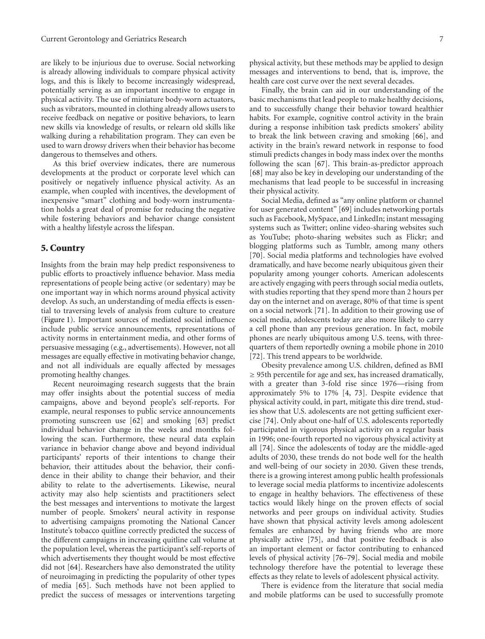are likely to be injurious due to overuse. Social networking is already allowing individuals to compare physical activity logs, and this is likely to become increasingly widespread, potentially serving as an important incentive to engage in physical activity. The use of miniature body-worn actuators, such as vibrators, mounted in clothing already allows users to receive feedback on negative or positive behaviors, to learn new skills via knowledge of results, or relearn old skills like walking during a rehabilitation program. They can even be used to warn drowsy drivers when their behavior has become dangerous to themselves and others.

As this brief overview indicates, there are numerous developments at the product or corporate level which can positively or negatively influence physical activity. As an example, when coupled with incentives, the development of inexpensive "smart" clothing and body-worn instrumentation holds a great deal of promise for reducing the negative while fostering behaviors and behavior change consistent with a healthy lifestyle across the lifespan.

#### **5. Country**

Insights from the brain may help predict responsiveness to public efforts to proactively influence behavior. Mass media representations of people being active (or sedentary) may be one important way in which norms around physical activity develop. As such, an understanding of media effects is essential to traversing levels of analysis from culture to creature (Figure 1). Important sources of mediated social influence include public service announcements, representations of activity norms in entertainment media, and other forms of persuasive messaging (e.g., advertisements). However, not all messages are equally effective in motivating behavior change, and not all individuals are equally affected by messages promoting healthy changes.

Recent neuroimaging research suggests that the brain may offer insights about the potential success of media campaigns, above and beyond people's self-reports. For example, neural responses to public service announcements promoting sunscreen use [62] and smoking [63] predict individual behavior change in the weeks and months following the scan. Furthermore, these neural data explain variance in behavior change above and beyond individual participants' reports of their intentions to change their behavior, their attitudes about the behavior, their confidence in their ability to change their behavior, and their ability to relate to the advertisements. Likewise, neural activity may also help scientists and practitioners select the best messages and interventions to motivate the largest number of people. Smokers' neural activity in response to advertising campaigns promoting the National Cancer Institute's tobacco quitline correctly predicted the success of the different campaigns in increasing quitline call volume at the population level, whereas the participant's self-reports of which advertisements they thought would be most effective did not [64]. Researchers have also demonstrated the utility of neuroimaging in predicting the popularity of other types of media [65]. Such methods have not been applied to predict the success of messages or interventions targeting physical activity, but these methods may be applied to design messages and interventions to bend, that is, improve, the health care cost curve over the next several decades.

Finally, the brain can aid in our understanding of the basic mechanisms that lead people to make healthy decisions, and to successfully change their behavior toward healthier habits. For example, cognitive control activity in the brain during a response inhibition task predicts smokers' ability to break the link between craving and smoking [66], and activity in the brain's reward network in response to food stimuli predicts changes in body mass index over the months following the scan [67]. This brain-as-predictor approach [68] may also be key in developing our understanding of the mechanisms that lead people to be successful in increasing their physical activity.

Social Media, defined as "any online platform or channel for user generated content" [69] includes networking portals such as Facebook, MySpace, and LinkedIn; instant messaging systems such as Twitter; online video-sharing websites such as YouTube; photo-sharing websites such as Flickr; and blogging platforms such as Tumblr, among many others [70]. Social media platforms and technologies have evolved dramatically, and have become nearly ubiquitous given their popularity among younger cohorts. American adolescents are actively engaging with peers through social media outlets, with studies reporting that they spend more than 2 hours per day on the internet and on average, 80% of that time is spent on a social network [71]. In addition to their growing use of social media, adolescents today are also more likely to carry a cell phone than any previous generation. In fact, mobile phones are nearly ubiquitous among U.S. teens, with threequarters of them reportedly owning a mobile phone in 2010 [72]. This trend appears to be worldwide.

Obesity prevalence among U.S. children, defined as BMI  $\geq$  95th percentile for age and sex, has increased dramatically, with a greater than 3-fold rise since 1976—rising from approximately 5% to 17% [4, 73]. Despite evidence that physical activity could, in part, mitigate this dire trend, studies show that U.S. adolescents are not getting sufficient exercise [74]. Only about one-half of U.S. adolescents reportedly participated in vigorous physical activity on a regular basis in 1996; one-fourth reported no vigorous physical activity at all [74]. Since the adolescents of today are the middle-aged adults of 2030, these trends do not bode well for the health and well-being of our society in 2030. Given these trends, there is a growing interest among public health professionals to leverage social media platforms to incentivize adolescents to engage in healthy behaviors. The effectiveness of these tactics would likely hinge on the proven effects of social networks and peer groups on individual activity. Studies have shown that physical activity levels among adolescent females are enhanced by having friends who are more physically active [75], and that positive feedback is also an important element or factor contributing to enhanced levels of physical activity [76–79]. Social media and mobile technology therefore have the potential to leverage these effects as they relate to levels of adolescent physical activity.

There is evidence from the literature that social media and mobile platforms can be used to successfully promote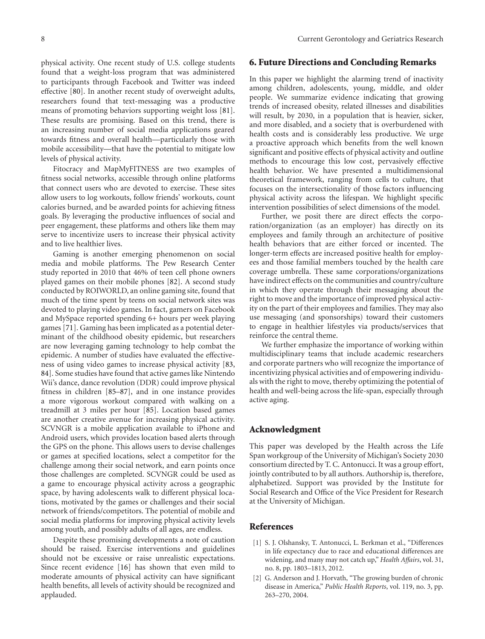physical activity. One recent study of U.S. college students found that a weight-loss program that was administered to participants through Facebook and Twitter was indeed effective [80]. In another recent study of overweight adults, researchers found that text-messaging was a productive means of promoting behaviors supporting weight loss [81]. These results are promising. Based on this trend, there is an increasing number of social media applications geared towards fitness and overall health—particularly those with mobile accessibility—that have the potential to mitigate low levels of physical activity.

Fitocracy and MapMyFITNESS are two examples of fitness social networks, accessible through online platforms that connect users who are devoted to exercise. These sites allow users to log workouts, follow friends' workouts, count calories burned, and be awarded points for achieving fitness goals. By leveraging the productive influences of social and peer engagement, these platforms and others like them may serve to incentivize users to increase their physical activity and to live healthier lives.

Gaming is another emerging phenomenon on social media and mobile platforms. The Pew Research Center study reported in 2010 that 46% of teen cell phone owners played games on their mobile phones [82]. A second study conducted by ROIWORLD, an online gaming site, found that much of the time spent by teens on social network sites was devoted to playing video games. In fact, gamers on Facebook and MySpace reported spending 6+ hours per week playing games [71]. Gaming has been implicated as a potential determinant of the childhood obesity epidemic, but researchers are now leveraging gaming technology to help combat the epidemic. A number of studies have evaluated the effectiveness of using video games to increase physical activity [83, 84]. Some studies have found that active games like Nintendo Wii's dance, dance revolution (DDR) could improve physical fitness in children [85–87], and in one instance provides a more vigorous workout compared with walking on a treadmill at 3 miles per hour [85]. Location based games are another creative avenue for increasing physical activity. SCVNGR is a mobile application available to iPhone and Android users, which provides location based alerts through the GPS on the phone. This allows users to devise challenges or games at specified locations, select a competitor for the challenge among their social network, and earn points once those challenges are completed. SCVNGR could be used as a game to encourage physical activity across a geographic space, by having adolescents walk to different physical locations, motivated by the games or challenges and their social network of friends/competitors. The potential of mobile and social media platforms for improving physical activity levels among youth, and possibly adults of all ages, are endless.

Despite these promising developments a note of caution should be raised. Exercise interventions and guidelines should not be excessive or raise unrealistic expectations. Since recent evidence [16] has shown that even mild to moderate amounts of physical activity can have significant health benefits, all levels of activity should be recognized and applauded.

### **6. Future Directions and Concluding Remarks**

In this paper we highlight the alarming trend of inactivity among children, adolescents, young, middle, and older people. We summarize evidence indicating that growing trends of increased obesity, related illnesses and disabilities will result, by 2030, in a population that is heavier, sicker, and more disabled, and a society that is overburdened with health costs and is considerably less productive. We urge a proactive approach which benefits from the well known significant and positive effects of physical activity and outline methods to encourage this low cost, pervasively effective health behavior. We have presented a multidimensional theoretical framework, ranging from cells to culture, that focuses on the intersectionality of those factors influencing physical activity across the lifespan. We highlight specific intervention possibilities of select dimensions of the model.

Further, we posit there are direct effects the corporation/organization (as an employer) has directly on its employees and family through an architecture of positive health behaviors that are either forced or incented. The longer-term effects are increased positive health for employees and those familial members touched by the health care coverage umbrella. These same corporations/organizations have indirect effects on the communities and country/culture in which they operate through their messaging about the right to move and the importance of improved physical activity on the part of their employees and families. They may also use messaging (and sponsorships) toward their customers to engage in healthier lifestyles via products/services that reinforce the central theme.

We further emphasize the importance of working within multidisciplinary teams that include academic researchers and corporate partners who will recognize the importance of incentivizing physical activities and of empowering individuals with the right to move, thereby optimizing the potential of health and well-being across the life-span, especially through active aging.

## **Acknowledgment**

This paper was developed by the Health across the Life Span workgroup of the University of Michigan's Society 2030 consortium directed by T. C. Antonucci. It was a group effort, jointly contributed to by all authors. Authorship is, therefore, alphabetized. Support was provided by the Institute for Social Research and Office of the Vice President for Research at the University of Michigan.

#### **References**

- [1] S. J. Olshansky, T. Antonucci, L. Berkman et al., "Differences in life expectancy due to race and educational differences are widening, and many may not catch up," *Health Affairs*, vol. 31, no. 8, pp. 1803–1813, 2012.
- [2] G. Anderson and J. Horvath, "The growing burden of chronic disease in America," *Public Health Reports*, vol. 119, no. 3, pp. 263–270, 2004.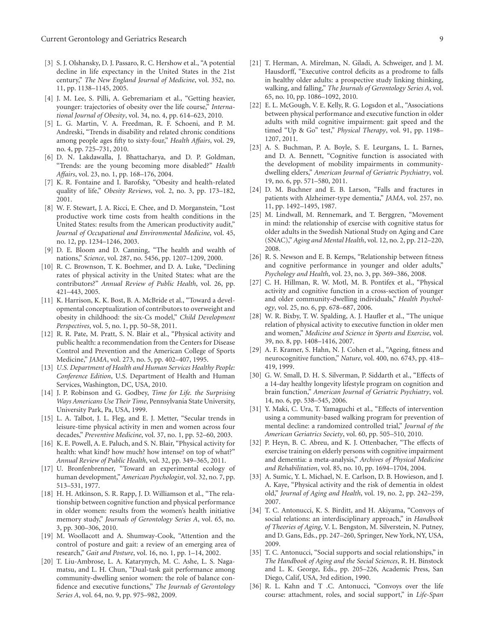- [3] S. J. Olshansky, D. J. Passaro, R. C. Hershow et al., "A potential decline in life expectancy in the United States in the 21st century," *The New England Journal of Medicine*, vol. 352, no. 11, pp. 1138–1145, 2005.
- [4] J. M. Lee, S. Pilli, A. Gebremariam et al., "Getting heavier, younger: trajectories of obesity over the life course," *International Journal of Obesity*, vol. 34, no. 4, pp. 614–623, 2010.
- [5] L. G. Martin, V. A. Freedman, R. F. Schoeni, and P. M. Andreski, "Trends in disability and related chronic conditions among people ages fifty to sixty-four," *Health Affairs*, vol. 29, no. 4, pp. 725–731, 2010.
- [6] D. N. Lakdawalla, J. Bhattacharya, and D. P. Goldman, "Trends: are the young becoming more disabled?" *Health Affairs*, vol. 23, no. 1, pp. 168–176, 2004.
- [7] K. R. Fontaine and I. Barofsky, "Obesity and health-related quality of life," *Obesity Reviews*, vol. 2, no. 3, pp. 173–182, 2001.
- [8] W. F. Stewart, J. A. Ricci, E. Chee, and D. Morganstein, "Lost productive work time costs from health conditions in the United States: results from the American productivity audit," *Journal of Occupational and Environmental Medicine*, vol. 45, no. 12, pp. 1234–1246, 2003.
- [9] D. E. Bloom and D. Canning, "The health and wealth of nations," *Science*, vol. 287, no. 5456, pp. 1207–1209, 2000.
- [10] R. C. Brownson, T. K. Boehmer, and D. A. Luke, "Declining rates of physical activity in the United States: what are the contributors?" *Annual Review of Public Health*, vol. 26, pp. 421–443, 2005.
- [11] K. Harrison, K. K. Bost, B. A. McBride et al., "Toward a developmental conceptualization of contributors to overweight and obesity in childhood: the six-Cs model," *Child Development Perspectives*, vol. 5, no. 1, pp. 50–58, 2011.
- [12] R. R. Pate, M. Pratt, S. N. Blair et al., "Physical activity and public health: a recommendation from the Centers for Disease Control and Prevention and the American College of Sports Medicine," *JAMA*, vol. 273, no. 5, pp. 402–407, 1995.
- [13] *U.S. Department of Health and Human Services Healthy People: Conference Edition*, U.S. Department of Health and Human Services, Washington, DC, USA, 2010.
- [14] J. P. Robinson and G. Godbey, *Time for Life. the Surprising Ways Americans Use Their Time*, Pennsylvania State University, University Park, Pa, USA, 1999.
- [15] L. A. Talbot, J. L. Fleg, and E. J. Metter, "Secular trends in leisure-time physical activity in men and women across four decades," *Preventive Medicine*, vol. 37, no. 1, pp. 52–60, 2003.
- [16] K. E. Powell, A. E. Paluch, and S. N. Blair, "Physical activity for health: what kind? how much? how intense? on top of what?" *Annual Review of Public Health*, vol. 32, pp. 349–365, 2011.
- [17] U. Bronfenbrenner, "Toward an experimental ecology of human development," *American Psychologist*, vol. 32, no. 7, pp. 513–531, 1977.
- [18] H. H. Atkinson, S. R. Rapp, J. D. Williamson et al., "The relationship between cognitive function and physical performance in older women: results from the women's health initiative memory study," *Journals of Gerontology Series A*, vol. 65, no. 3, pp. 300–306, 2010.
- [19] M. Woollacott and A. Shumway-Cook, "Attention and the control of posture and gait: a review of an emerging area of research," *Gait and Posture*, vol. 16, no. 1, pp. 1–14, 2002.
- [20] T. Liu-Ambrose, L. A. Katarynych, M. C. Ashe, L. S. Nagamatsu, and L. H. Chun, "Dual-task gait performance among community-dwelling senior women: the role of balance confidence and executive functions," *The Journals of Gerontology Series A*, vol. 64, no. 9, pp. 975–982, 2009.
- [21] T. Herman, A. Mirelman, N. Giladi, A. Schweiger, and J. M. Hausdorff, "Executive control deficits as a prodrome to falls in healthy older adults: a prospective study linking thinking, walking, and falling," *The Journals of Gerontology Series A*, vol. 65, no. 10, pp. 1086–1092, 2010.
- [22] E. L. McGough, V. E. Kelly, R. G. Logsdon et al., "Associations between physical performance and executive function in older adults with mild cognitive impairment: gait speed and the timed "Up & Go" test," *Physical Therapy*, vol. 91, pp. 1198– 1207, 2011.
- [23] A. S. Buchman, P. A. Boyle, S. E. Leurgans, L. L. Barnes, and D. A. Bennett, "Cognitive function is associated with the development of mobility impairments in communitydwelling elders," *American Journal of Geriatric Psychiatry*, vol. 19, no. 6, pp. 571–580, 2011.
- [24] D. M. Buchner and E. B. Larson, "Falls and fractures in patients with Alzheimer-type dementia," *JAMA*, vol. 257, no. 11, pp. 1492–1495, 1987.
- [25] M. Lindwall, M. Rennemark, and T. Berggren, "Movement in mind: the relationship of exercise with cognitive status for older adults in the Swedish National Study on Aging and Care (SNAC)," *Aging and Mental Health*, vol. 12, no. 2, pp. 212–220, 2008.
- [26] R. S. Newson and E. B. Kemps, "Relationship between fitness and cognitive performance in younger and older adults," *Psychology and Health*, vol. 23, no. 3, pp. 369–386, 2008.
- [27] C. H. Hillman, R. W. Motl, M. B. Pontifex et al., "Physical activity and cognitive function in a cross-section of younger and older community-dwelling individuals," *Health Psychology*, vol. 25, no. 6, pp. 678–687, 2006.
- [28] W. R. Bixby, T. W. Spalding, A. J. Haufler et al., "The unique relation of physical activity to executive function in older men and women," *Medicine and Science in Sports and Exercise*, vol. 39, no. 8, pp. 1408–1416, 2007.
- [29] A. F. Kramer, S. Hahn, N. J. Cohen et al., "Ageing, fitness and neurocognitive function," *Nature*, vol. 400, no. 6743, pp. 418– 419, 1999.
- [30] G. W. Small, D. H. S. Silverman, P. Siddarth et al., "Effects of a 14-day healthy longevity lifestyle program on cognition and brain function," *American Journal of Geriatric Psychiatry*, vol. 14, no. 6, pp. 538–545, 2006.
- [31] Y. Maki, C. Ura, T. Yamaguchi et al., "Effects of intervention using a community-based walking program for prevention of mental decline: a randomized controlled trial," *Journal of the American Geriatrics Society*, vol. 60, pp. 505–510, 2010.
- [32] P. Heyn, B. C. Abreu, and K. J. Ottenbacher, "The effects of exercise training on elderly persons with cognitive impairment and dementia: a meta-analysis," *Archives of Physical Medicine and Rehabilitation*, vol. 85, no. 10, pp. 1694–1704, 2004.
- [33] A. Sumic, Y. L. Michael, N. E. Carlson, D. B. Howieson, and J. A. Kaye, "Physical activity and the risk of dementia in oldest old," *Journal of Aging and Health*, vol. 19, no. 2, pp. 242–259, 2007.
- [34] T. C. Antonucci, K. S. Birditt, and H. Akiyama, "Convoys of social relations: an interdisciplinary approach," in *Handbook of Theories of Aging*, V. L. Bengston, M. Silverstein, N. Putney, and D. Gans, Eds., pp. 247–260, Springer, New York, NY, USA, 2009.
- [35] T. C. Antonucci, "Social supports and social relationships," in *The Handbook of Aging and the Social Sciences*, R. H. Binstock and L. K. George, Eds., pp. 205–226, Academic Press, San Diego, Calif, USA, 3rd edition, 1990.
- [36] R. L. Kahn and T .C. Antonucci, "Convoys over the life course: attachment, roles, and social support," in *Life-Span*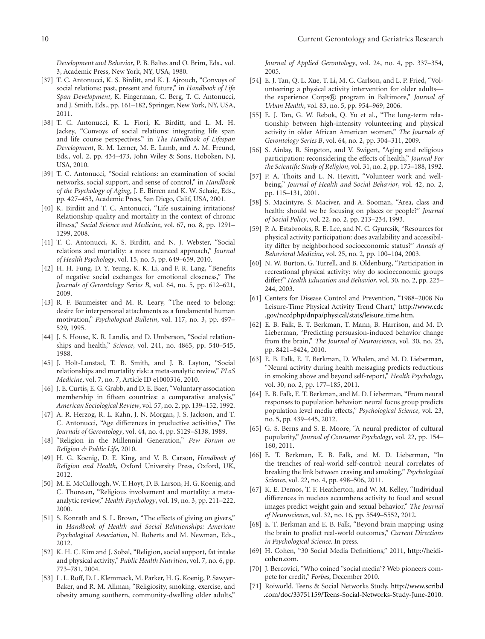*Development and Behavior*, P. B. Baltes and O. Brim, Eds., vol. 3, Academic Press, New York, NY, USA, 1980.

- [37] T. C. Antonucci, K. S. Birditt, and K. J. Ajrouch, "Convoys of social relations: past, present and future," in *Handbook of Life Span Development*, K. Fingerman, C. Berg, T. C. Antonucci, and J. Smith, Eds., pp. 161–182, Springer, New York, NY, USA, 2011.
- [38] T. C. Antonucci, K. L. Fiori, K. Birditt, and L. M. H. Jackey, "Convoys of social relations: integrating life span and life course perspectives," in *The Handbook of Lifespan Development*, R. M. Lerner, M. E. Lamb, and A. M. Freund, Eds., vol. 2, pp. 434–473, John Wiley & Sons, Hoboken, NJ, USA, 2010.
- [39] T. C. Antonucci, "Social relations: an examination of social networks, social support, and sense of control," in *Handbook of the Psychology of Aging*, J. E. Birren and K. W. Schaie, Eds., pp. 427–453, Academic Press, San Diego, Calif, USA, 2001.
- [40] K. Birditt and T. C. Antonucci, "Life sustaining irritations? Relationship quality and mortality in the context of chronic illness," *Social Science and Medicine*, vol. 67, no. 8, pp. 1291– 1299, 2008.
- [41] T. C. Antonucci, K. S. Birditt, and N. J. Webster, "Social relations and mortality: a more nuanced approach," *Journal of Health Psychology*, vol. 15, no. 5, pp. 649–659, 2010.
- [42] H. H. Fung, D. Y. Yeung, K. K. Li, and F. R. Lang, "Benefits of negative social exchanges for emotional closeness," *The Journals of Gerontology Series B*, vol. 64, no. 5, pp. 612–621, 2009.
- [43] R. F. Baumeister and M. R. Leary, "The need to belong: desire for interpersonal attachments as a fundamental human motivation," *Psychological Bulletin*, vol. 117, no. 3, pp. 497– 529, 1995.
- [44] J. S. House, K. R. Landis, and D. Umberson, "Social relationships and health," *Science*, vol. 241, no. 4865, pp. 540–545, 1988.
- [45] J. Holt-Lunstad, T. B. Smith, and J. B. Layton, "Social relationships and mortality risk: a meta-analytic review," *PLoS Medicine*, vol. 7, no. 7, Article ID e1000316, 2010.
- [46] J. E. Curtis, E. G. Grabb, and D. E. Baer, "Voluntary association membership in fifteen countries: a comparative analysis," *American Sociological Review*, vol. 57, no. 2, pp. 139–152, 1992.
- [47] A. R. Herzog, R. L. Kahn, J. N. Morgan, J. S. Jackson, and T. C. Antonucci, "Age differences in productive activities," *The Journals of Gerontology*, vol. 44, no. 4, pp. S129–S138, 1989.
- [48] "Religion in the Millennial Generation," *Pew Forum on Religion & Public Life*, 2010.
- [49] H. G. Koenig, D. E. King, and V. B. Carson, *Handbook of Religion and Health*, Oxford University Press, Oxford, UK, 2012.
- [50] M. E. McCullough, W. T. Hoyt, D. B. Larson, H. G. Koenig, and C. Thoresen, "Religious involvement and mortality: a metaanalytic review," *Health Psychology*, vol. 19, no. 3, pp. 211–222, 2000.
- [51] S. Konrath and S. L. Brown, "The effects of giving on givers," in *Handbook of Health and Social Relationships: American Psychological Association*, N. Roberts and M. Newman, Eds., 2012.
- [52] K. H. C. Kim and J. Sobal, "Religion, social support, fat intake and physical activity," *Public Health Nutrition*, vol. 7, no. 6, pp. 773–781, 2004.
- [53] L. L. Roff, D. L. Klemmack, M. Parker, H. G. Koenig, P. Sawyer-Baker, and R. M. Allman, "Religiosity, smoking, exercise, and obesity among southern, community-dwelling older adults,"

*Journal of Applied Gerontology*, vol. 24, no. 4, pp. 337–354, 2005.

- [54] E. J. Tan, Q. L. Xue, T. Li, M. C. Carlson, and L. P. Fried, "Volunteering: a physical activity intervention for older adults the experience Corps® program in Baltimore," *Journal of Urban Health*, vol. 83, no. 5, pp. 954–969, 2006.
- [55] E. J. Tan, G. W. Rebok, Q. Yu et al., "The long-term relationship between high-intensity volunteering and physical activity in older African American women," *The Journals of Gerontology Series B*, vol. 64, no. 2, pp. 304–311, 2009.
- [56] S. Ainlay, R. Singeton, and V. Swigert, "Aging and religious participation: reconsidering the effects of health," *Journal For the Scientific Study of Religion*, vol. 31, no. 2, pp. 175–188, 1992.
- [57] P. A. Thoits and L. N. Hewitt, "Volunteer work and wellbeing," *Journal of Health and Social Behavior*, vol. 42, no. 2, pp. 115–131, 2001.
- [58] S. Macintyre, S. Maciver, and A. Sooman, "Area, class and health: should we be focusing on places or people?" *Journal of Social Policy*, vol. 22, no. 2, pp. 213–234, 1993.
- [59] P. A. Estabrooks, R. E. Lee, and N. C. Gyurcsik, "Resources for physical activity participation: does availability and accessibility differ by neighborhood socioeconomic status?" *Annals of Behavioral Medicine*, vol. 25, no. 2, pp. 100–104, 2003.
- [60] N. W. Burton, G. Turrell, and B. Oldenburg, "Participation in recreational physical activity: why do socioeconomic groups differ?" *Health Education and Behavior*, vol. 30, no. 2, pp. 225– 244, 2003.
- [61] Centers for Disease Control and Prevention, "1988–2008 No Leisure-Time Physical Activity Trend Chart," http://www.cdc .gov/nccdphp/dnpa/physical/stats/leisure time.htm.
- [62] E. B. Falk, E. T. Berkman, T. Mann, B. Harrison, and M. D. Lieberman, "Predicting persuasion-induced behavior change from the brain," *The Journal of Neuroscience*, vol. 30, no. 25, pp. 8421–8424, 2010.
- [63] E. B. Falk, E. T. Berkman, D. Whalen, and M. D. Lieberman, "Neural activity during health messaging predicts reductions in smoking above and beyond self-report," *Health Psychology*, vol. 30, no. 2, pp. 177–185, 2011.
- [64] E. B. Falk, E. T. Berkman, and M. D. Lieberman, "From neural responses to population behavior: neural focus group predicts population level media effects," *Psychological Science*, vol. 23, no. 5, pp. 439–445, 2012.
- [65] G. S. Berns and S. E. Moore, "A neural predictor of cultural popularity," *Journal of Consumer Psychology*, vol. 22, pp. 154– 160, 2011.
- [66] E. T. Berkman, E. B. Falk, and M. D. Lieberman, "In the trenches of real-world self-control: neural correlates of breaking the link between craving and smoking," *Psychological Science*, vol. 22, no. 4, pp. 498–506, 2011.
- [67] K. E. Demos, T. F. Heatherton, and W. M. Kelley, "Individual differences in nucleus accumbens activity to food and sexual images predict weight gain and sexual behavior," *The Journal of Neuroscience*, vol. 32, no. 16, pp. 5549–5552, 2012.
- [68] E. T. Berkman and E. B. Falk, "Beyond brain mapping: using the brain to predict real-world outcomes," *Current Directions in Psychological Science*. In press.
- [69] H. Cohen, "30 Social Media Definitions," 2011, http://heidicohen.com.
- [70] J. Bercovici, "Who coined "social media"? Web pioneers compete for credit," *Forbes*, December 2010.
- [71] Roiworld. Teens & Social Networks Study, http://www.scribd .com/doc/33751159/Teens-Social-Networks-Study-June-2010.